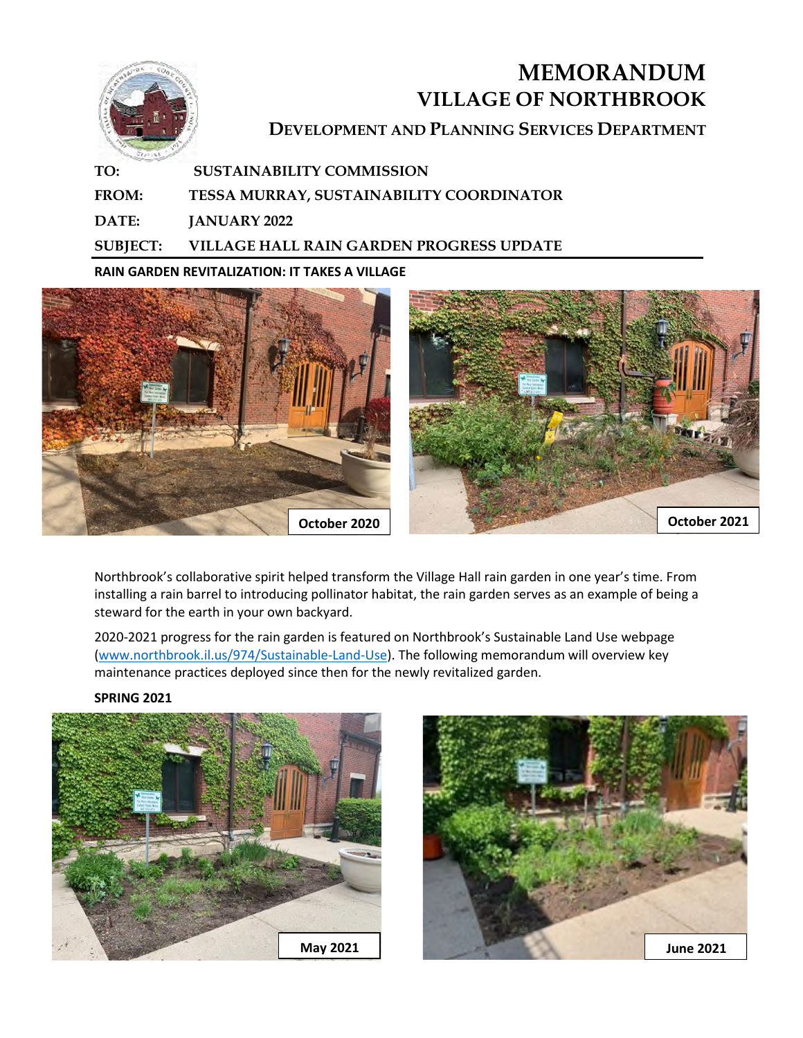

## **MEMORANDUM VILLAGE OF NORTHBROOK DEVELOPMENT AND PLANNING SERVICES DEPARTMENT**

**TO: SUSTAINABILITY COMMISSION FROM: TESSA MURRAY, SUSTAINABILITY COORDINATOR DATE: JANUARY 2022 SUBJECT: VILLAGE HALL RAIN GARDEN PROGRESS UPDATE** 

**RAIN GARDEN REVITALIZATION: IT TAKES A VILLAGE** 



Northbrook's collaborative spirit helped transform the Village Hall rain garden in one year's time. From installing a rain barrel to introducing pollinator habitat, the rain garden serves as an example of being a steward for the earth in your own backyard.

2020-2021 progress for the rain garden is featured on Northbrook's Sustainable Land Use webpage [\(www.northbrook.il.us/974/Sustainable-Land-Use\)](https://www.northbrook.il.us/974/Sustainable-Land-Use). The following memorandum will overview key maintenance practices deployed since then for the newly revitalized garden.

**SPRING 2021**



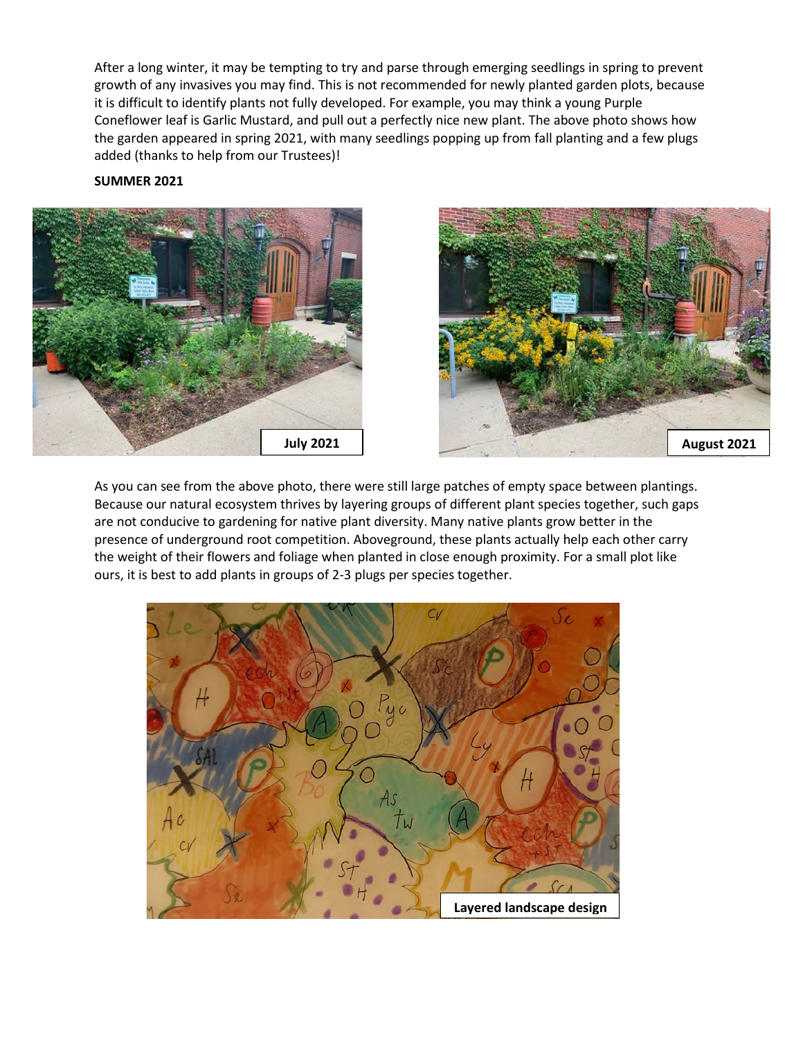After a long winter, it may be tempting to try and parse through emerging seedlings in spring to prevent growth of any invasives you may find. This is not recommended for newly planted garden plots, because it is difficult to identify plants not fully developed. For example, you may think a young Purple Coneflower leaf is Garlic Mustard, and pull out a perfectly nice new plant. The above photo shows how the garden appeared in spring 2021, with many seedlings popping up from fall planting and a few plugs added (thanks to help from our Trustees)!

## **SUMMER 2021**





As you can see from the above photo, there were still large patches of empty space between plantings. Because our natural ecosystem thrives by layering groups of different plant species together, such gaps are not conducive to gardening for native plant diversity. Many native plants grow better in the presence of underground root competition. Aboveground, these plants actually help each other carry the weight of their flowers and foliage when planted in close enough proximity. For a small plot like ours, it is best to add plants in groups of 2-3 plugs per species together.

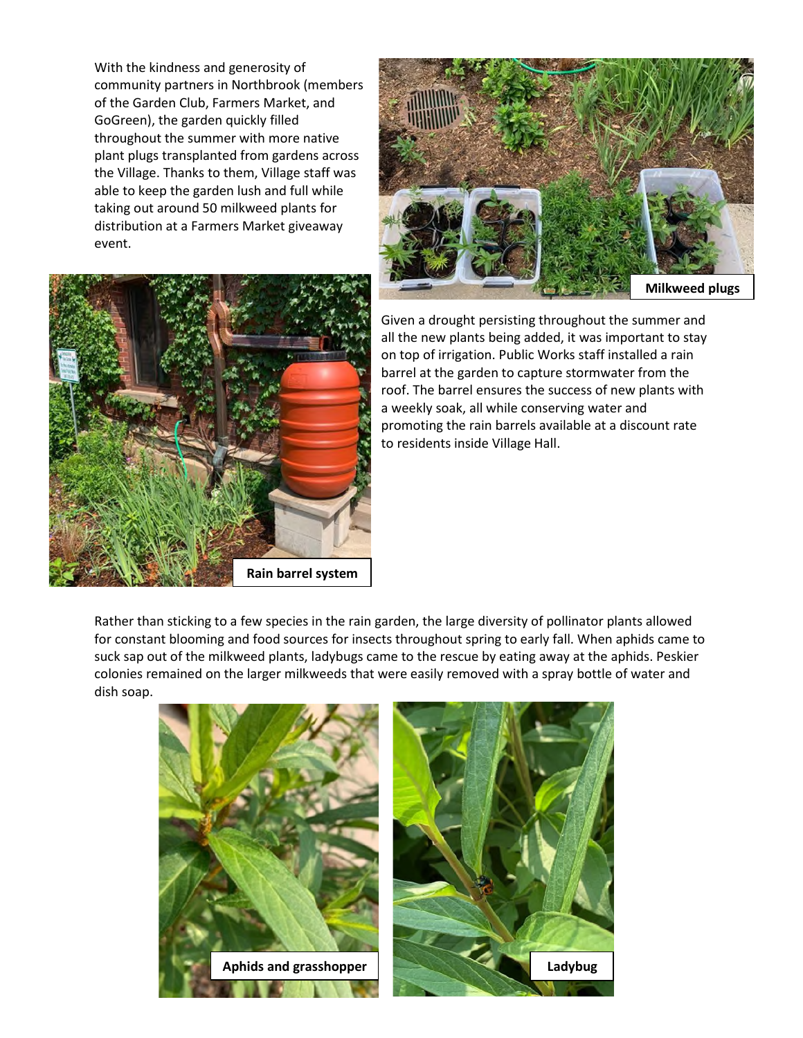With the kindness and generosity of community partners in Northbrook (members of the Garden Club, Farmers Market, and GoGreen), the garden quickly filled throughout the summer with more native plant plugs transplanted from gardens across the Village. Thanks to them, Village staff was able to keep the garden lush and full while taking out around 50 milkweed plants for distribution at a Farmers Market giveaway event.





Given a drought persisting throughout the summer and all the new plants being added, it was important to stay on top of irrigation. Public Works staff installed a rain barrel at the garden to capture stormwater from the roof. The barrel ensures the success of new plants with a weekly soak, all while conserving water and promoting the rain barrels available at a discount rate to residents inside Village Hall.

Rather than sticking to a few species in the rain garden, the large diversity of pollinator plants allowed for constant blooming and food sources for insects throughout spring to early fall. When aphids came to suck sap out of the milkweed plants, ladybugs came to the rescue by eating away at the aphids. Peskier colonies remained on the larger milkweeds that were easily removed with a spray bottle of water and dish soap.